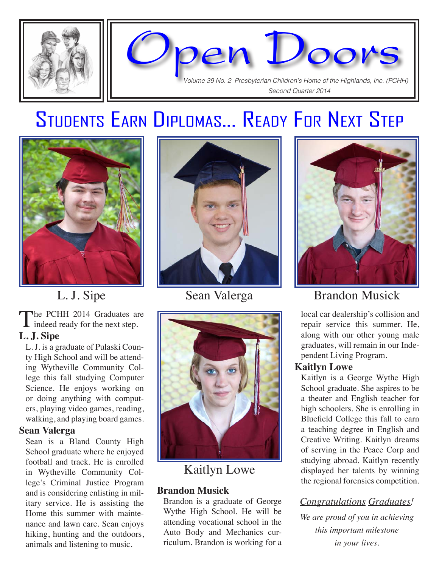



# Students Earn Diplomas... Ready For Next Step



## L. J. Sipe

The PCHH 2014 Graduates are I indeed ready for the next step.

#### **L. J. Sipe**

L. J. is a graduate of Pulaski County High School and will be attending Wytheville Community College this fall studying Computer Science. He enjoys working on or doing anything with computers, playing video games, reading, walking, and playing board games.

#### **Sean Valerga**

Sean is a Bland County High School graduate where he enjoyed football and track. He is enrolled in Wytheville Community College's Criminal Justice Program and is considering enlisting in military service. He is assisting the Home this summer with maintenance and lawn care. Sean enjoys hiking, hunting and the outdoors, animals and listening to music.





### Kaitlyn Lowe

#### **Brandon Musick**

Brandon is a graduate of George Wythe High School. He will be attending vocational school in the Auto Body and Mechanics curriculum. Brandon is working for a



## Sean Valerga Brandon Musick

local car dealership's collision and repair service this summer. He, along with our other young male graduates, will remain in our Independent Living Program.

#### **Kaitlyn Lowe**

Kaitlyn is a George Wythe High School graduate. She aspires to be a theater and English teacher for high schoolers. She is enrolling in Bluefield College this fall to earn a teaching degree in English and Creative Writing. Kaitlyn dreams of serving in the Peace Corp and studying abroad. Kaitlyn recently displayed her talents by winning the regional forensics competition.

### *Congratulations Graduates!*

*We are proud of you in achieving this important milestone in your lives.*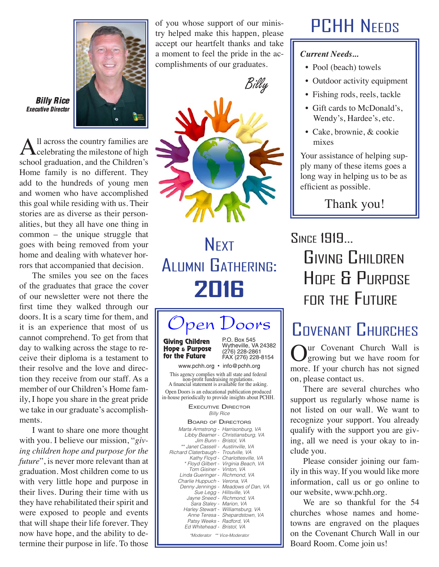

Billy Rice Executive Director

All across the country families are<br>celebrating the milestone of high school graduation, and the Children's Home family is no different. They add to the hundreds of young men and women who have accomplished this goal while residing with us. Their stories are as diverse as their personalities, but they all have one thing in common – the unique struggle that goes with being removed from your home and dealing with whatever horrors that accompanied that decision.

The smiles you see on the faces of the graduates that grace the cover of our newsletter were not there the first time they walked through our doors. It is a scary time for them, and it is an experience that most of us cannot comprehend. To get from that day to walking across the stage to receive their diploma is a testament to their resolve and the love and direction they receive from our staff. As a member of our Children's Home family, I hope you share in the great pride we take in our graduate's accomplishments.

I want to share one more thought with you. I believe our mission, "*giving children hope and purpose for the future*", is never more relevant than at graduation. Most children come to us with very little hope and purpose in their lives. During their time with us they have rehabilitated their spirit and were exposed to people and events that will shape their life forever. They now have hope, and the ability to determine their purpose in life. To those

of you whose support of our ministry helped make this happen, please accept our heartfelt thanks and take a moment to feel the pride in the accomplishments of our graduates.





**NEXT** Alumni Gathering: **2016**

### P.O. Box 545 pen Doors Giving Children

Hope & Purpose for the Future

Wytheville, VA 24382 (276) 228-2861 FAX (276) 228-8154

www.pchh.org • info@pchh.org

This agency complies with all state and federal non-profit fundraising regulations. A financial statement is available for the asking. Open Doors is an educational publication produced in-house periodically to provide insights about PCHH.

> Billy Rice **EXECUTIVE DIRECTOR**

| <b>BOARD OF DIRECTORS</b>                                                                                                                                                                                                                                                                                                                                                                                                                                                                                                                                                                                                  |  |
|----------------------------------------------------------------------------------------------------------------------------------------------------------------------------------------------------------------------------------------------------------------------------------------------------------------------------------------------------------------------------------------------------------------------------------------------------------------------------------------------------------------------------------------------------------------------------------------------------------------------------|--|
| Marta Armstrong - Harrisonburg, VA<br>Libby Beamer - Christiansburg, VA<br>Jim Bunn - Bristol. VA<br>** Janet Cassell - Austinville, VA<br>Richard Claterbaugh - Troutville, VA<br>Kathy Floyd - Charlottesville, VA<br>* Floyd Gilbert - Virginia Beach, VA<br>Tom Gisiner - Vinton, VA<br>Linda Gueringer - Richmond, VA<br>Charlie Huppuch - Verona, VA<br>Denny Jennings - Meadows of Dan, VA<br>Sue Legg - Hillsville, VA<br>Jayne Sneed - Richmond, VA<br>Sara Staley - Marion, VA<br>Harley Stewart - Williamsburg, VA<br>Anne Teresa - Shepardstown, VA<br>Patsy Weeks - Radford, VA<br>Ed Whitehead - Bristol, VA |  |
| *Moderator ** Vice-Moderator                                                                                                                                                                                                                                                                                                                                                                                                                                                                                                                                                                                               |  |

# PCHH Needs

#### *Current Needs...*

- Pool (beach) towels
- Outdoor activity equipment
- Fishing rods, reels, tackle
- Gift cards to McDonald's, Wendy's, Hardee's, etc.
- Cake, brownie, & cookie mixes

Your assistance of helping supply many of these items goes a long way in helping us to be as efficient as possible.

Thank you!

# Since 1919... Giving Children Hope & Purpose for the Future

# COVENANT CHURCHES

**Our Covenant Church Wall is**<br>growing but we have room for more. If your church has not signed on, please contact us.

There are several churches who support us regularly whose name is not listed on our wall. We want to recognize your support. You already qualify with the support you are giving, all we need is your okay to include you.

Please consider joining our family in this way. If you would like more information, call us or go online to our website, www.pchh.org.

We are so thankful for the 54 churches whose names and hometowns are engraved on the plaques on the Covenant Church Wall in our Board Room. Come join us!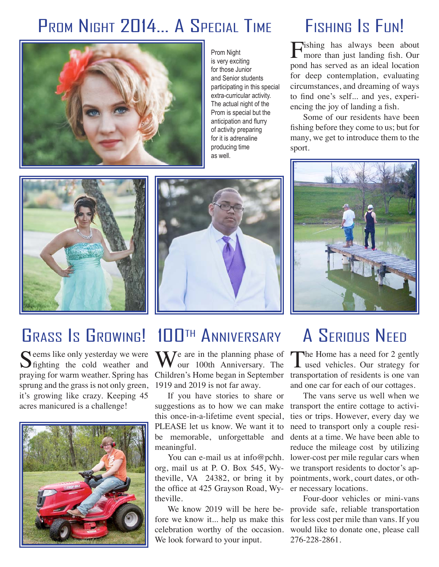# PROM NIGHT 2014... A SPECIAL TIME FISHING IS FUN!



Prom Night is very exciting for those Junior and Senior students participating in this special extra-curricular activity. The actual night of the Prom is special but the anticipation and flurry of activity preparing for it is adrenaline producing time as well.

Fishing has always been about more than just landing fish. Our pond has served as an ideal location for deep contemplation, evaluating circumstances, and dreaming of ways to find one's self... and yes, experiencing the joy of landing a fish.

Some of our residents have been fishing before they come to us; but for many, we get to introduce them to the sport.



# GRASS IS GROWING! 100TH ANNIVERSARY

praying for warm weather. Spring has Children's Home began in September transportation of residents is one van Seems like only yesterday we were<br>
Sighting the cold weather and sprung and the grass is not only green, it's growing like crazy. Keeping 45 acres manicured is a challenge!







 $\sum_{n=1}^{\infty} I$  are in the planning phase of **V** our 100th Anniversary. The 1919 and 2019 is not far away.

If you have stories to share or suggestions as to how we can make this once-in-a-lifetime event special, PLEASE let us know. We want it to meaningful.

the office at 425 Grayson Road, Wy- er necessary locations. org, mail us at P. O. Box 545, Wytheville.

celebration worthy of the occasion. We look forward to your input.

# A Serious Need

The Home has a need for 2 gently<br>used vehicles. Our strategy for and one car for each of our cottages.

The vans serve us well when we transport the entire cottage to activities or trips. However, every day we need to transport only a couple resibe memorable, unforgettable and dents at a time. We have been able to reduce the mileage cost by utilizing You can e-mail us at info@pchh. lower-cost per mile regular cars when we transport residents to doctor's aptheville, VA 24382, or bring it by pointments, work, court dates, or oth-

Four-door vehicles or mini-vans We know 2019 will be here be- provide safe, reliable transportation fore we know it... help us make this for less cost per mile than vans. If you would like to donate one, please call 276-228-2861.